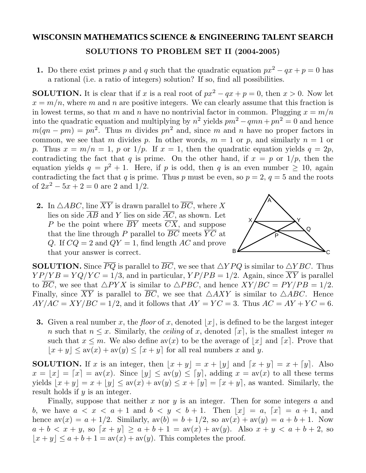## **WISCONSIN MATHEMATICS SCIENCE & ENGINEERING TALENT SEARCH SOLUTIONS TO PROBLEM SET II (2004-2005)**

**1.** Do there exist primes *p* and *q* such that the quadratic equation  $px^2 - qx + p = 0$  has a rational (i.e. a ratio of integers) solution? If so, find all possibilities.

**SOLUTION.** It is clear that if *x* is a real root of  $px^2 - qx + p = 0$ , then  $x > 0$ . Now let  $x = m/n$ , where *m* and *n* are positive integers. We can clearly assume that this fraction is in lowest terms, so that *m* and *n* have no nontrivial factor in common. Plugging  $x = m/n$ into the quadratic equation and multiplying by  $n^2$  yields  $pm^2 - qmn + pn^2 = 0$  and hence  $m(qn - pm) = pn^2$ . Thus *m* divides  $pn^2$  and, since *m* and *n* have no proper factors in common, we see that *m* divides *p*. In other words,  $m = 1$  or *p*, and similarly  $n = 1$  or *p*. Thus  $x = m/n = 1$ , *p* or  $1/p$ . If  $x = 1$ , then the quadratic equation yields  $q = 2p$ , contradicting the fact that *q* is prime. On the other hand, if  $x = p$  or  $1/p$ , then the equation yields  $q = p^2 + 1$ . Here, if *p* is odd, then *q* is an even number  $\geq 10$ , again contradicting the fact that *q* is prime. Thus *p* must be even, so  $p = 2$ ,  $q = 5$  and the roots of  $2x^2 - 5x + 2 = 0$  are 2 and 1/2.

**2.** In  $\triangle ABC$ , line *XY* is drawn parallel to *BC*, where *X* lies on side  $\overline{AB}$  and *Y* lies on side  $\overline{AC}$ , as shown. Let *P* be the point where *BY* meets *CX*, and suppose that the line through *P* parallel to  $\overline{BC}$  meets  $\overline{YC}$  at *Q*. If  $CQ = 2$  and  $QY = 1$ , find length *AC* and prove that your answer is correct.



**SOLUTION.** Since  $PQ$  is parallel to  $BC$ , we see that  $\triangle YPQ$  is similar to  $\triangle YBC$ . Thus  $YP/YB = YQ/YC = 1/3$ , and in particular,  $YP/PB = 1/2$ . Again, since  $\overline{XY}$  is parallel to *BC*, we see that  $\triangle PYX$  is similar to  $\triangle PBC$ , and hence  $XY/BC = PY/PB = 1/2$ . Finally, since XY is parallel to  $BC$ , we see that  $\triangle AXY$  is similar to  $\triangle ABC$ . Hence  $AY/AC = XY/BC = 1/2$ , and it follows that  $AY = YC = 3$ . Thus  $AC = AY + YC = 6$ .

**3.** Given a real number x, the floor of x, denoted  $|x|$ , is defined to be the largest integer *n* such that  $n \leq x$ . Similarly, the *ceiling* of *x*, denoted [*x*], is the smallest integer *m* such that  $x \leq m$ . We also define  $\mathrm{av}(x)$  to be the average of  $|x|$  and  $[x]$ . Prove that  $|x + y| \leq av(x) + av(y) \leq [x + y]$  for all real numbers *x* and *y*.

**SOLUTION.** If *x* is an integer, then  $|x + y| = x + |y|$  and  $[x + y] = x + [y]$ . Also  $x = |x| = |x| = \text{av}(x)$ . Since  $|y| \leq \text{av}(y) \leq |y|$ , adding  $x = \text{av}(x)$  to all these terms yields  $|x + y| = x + |y| \leq av(x) + av(y) \leq x + [y] = [x + y]$ , as wanted. Similarly, the result holds if *y* is an integer.

Finally, suppose that neither *x* nor *y* is an integer. Then for some integers *a* and *b*, we have  $a < x < a + 1$  and  $b < y < b + 1$ . Then  $|x| = a$ ,  $[x] = a + 1$ , and hence  $av(x) = a + 1/2$ . Similarly,  $av(b) = b + 1/2$ , so  $av(x) + av(y) = a + b + 1$ . Now  $a + b < x + y$ , so  $[x + y] \ge a + b + 1 = av(x) + av(y)$ . Also  $x + y < a + b + 2$ , so  $|x + y| \le a + b + 1 = \text{av}(x) + \text{av}(y)$ . This completes the proof.